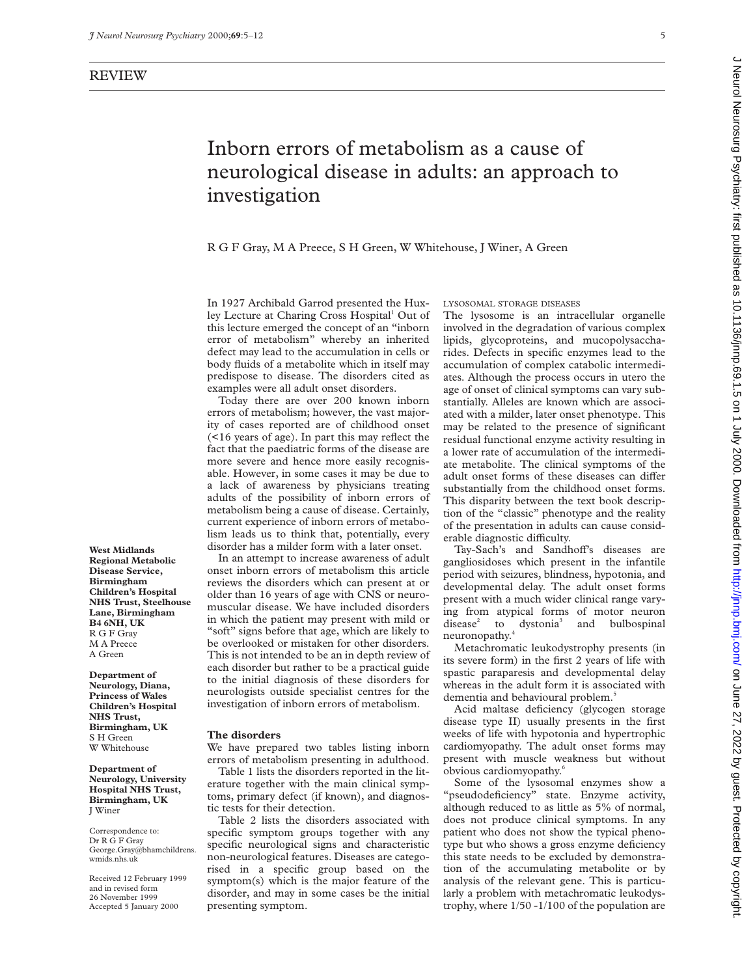# Inborn errors of metabolism as a cause of neurological disease in adults: an approach to investigation

R G F Gray, M A Preece, S H Green, W Whitehouse, J Winer, A Green

In 1927 Archibald Garrod presented the Huxley Lecture at Charing Cross Hospital<sup>1</sup> Out of this lecture emerged the concept of an "inborn error of metabolism" whereby an inherited defect may lead to the accumulation in cells or body fluids of a metabolite which in itself may predispose to disease. The disorders cited as examples were all adult onset disorders.

Today there are over 200 known inborn errors of metabolism; however, the vast majority of cases reported are of childhood onset (<16 years of age). In part this may reflect the fact that the paediatric forms of the disease are more severe and hence more easily recognisable. However, in some cases it may be due to a lack of awareness by physicians treating adults of the possibility of inborn errors of metabolism being a cause of disease. Certainly, current experience of inborn errors of metabolism leads us to think that, potentially, every disorder has a milder form with a later onset.

In an attempt to increase awareness of adult onset inborn errors of metabolism this article reviews the disorders which can present at or older than 16 years of age with CNS or neuromuscular disease. We have included disorders in which the patient may present with mild or "soft" signs before that age, which are likely to be overlooked or mistaken for other disorders. This is not intended to be an in depth review of each disorder but rather to be a practical guide to the initial diagnosis of these disorders for neurologists outside specialist centres for the investigation of inborn errors of metabolism.

#### **The disorders**

We have prepared two tables listing inborn errors of metabolism presenting in adulthood.

Table 1 lists the disorders reported in the literature together with the main clinical symptoms, primary defect (if known), and diagnostic tests for their detection.

Table 2 lists the disorders associated with specific symptom groups together with any specific neurological signs and characteristic non-neurological features. Diseases are categorised in a specific group based on the symptom(s) which is the major feature of the disorder, and may in some cases be the initial presenting symptom.

LYSOSOMAL STORAGE DISEASES

The lysosome is an intracellular organelle involved in the degradation of various complex lipids, glycoproteins, and mucopolysaccharides. Defects in specific enzymes lead to the accumulation of complex catabolic intermediates. Although the process occurs in utero the age of onset of clinical symptoms can vary substantially. Alleles are known which are associated with a milder, later onset phenotype. This may be related to the presence of significant residual functional enzyme activity resulting in a lower rate of accumulation of the intermediate metabolite. The clinical symptoms of the adult onset forms of these diseases can differ substantially from the childhood onset forms. This disparity between the text book description of the "classic" phenotype and the reality of the presentation in adults can cause considerable diagnostic difficulty.

Tay-Sach's and Sandhoff's diseases are gangliosidoses which present in the infantile period with seizures, blindness, hypotonia, and developmental delay. The adult onset forms present with a much wider clinical range varying from atypical forms of motor neuron disease<sup>2</sup> to dystonia<sup>3</sup> and bulbospinal neuronopathy.4

Metachromatic leukodystrophy presents (in its severe form) in the first 2 years of life with spastic paraparesis and developmental delay whereas in the adult form it is associated with dementia and behavioural problem.<sup>5</sup>

Acid maltase deficiency (glycogen storage disease type II) usually presents in the first weeks of life with hypotonia and hypertrophic cardiomyopathy. The adult onset forms may present with muscle weakness but without obvious cardiomyopathy.6

Some of the lysosomal enzymes show a "pseudodeficiency" state. Enzyme activity, although reduced to as little as 5% of normal, does not produce clinical symptoms. In any patient who does not show the typical phenotype but who shows a gross enzyme deficiency this state needs to be excluded by demonstration of the accumulating metabolite or by analysis of the relevant gene. This is particularly a problem with metachromatic leukodystrophy, where 1/50 -1/100 of the population are

**West Midlands Regional Metabolic Disease Service, Birmingham Children's Hospital NHS Trust, Steelhouse Lane, Birmingham B4 6NH, UK** R G F Gray M A Preece A Green

**Department of Neurology, Diana, Princess of Wales Children's Hospital NHS Trust, Birmingham, UK** S H Green W Whitehouse

**Department of Neurology, University Hospital NHS Trust, Birmingham, UK** J Winer

Correspondence to: Dr R G F Gray George.Gray@bhamchildrens. wmids.nhs.uk

Received 12 February 1999 and in revised form 26 November 1999 Accepted 5 January 2000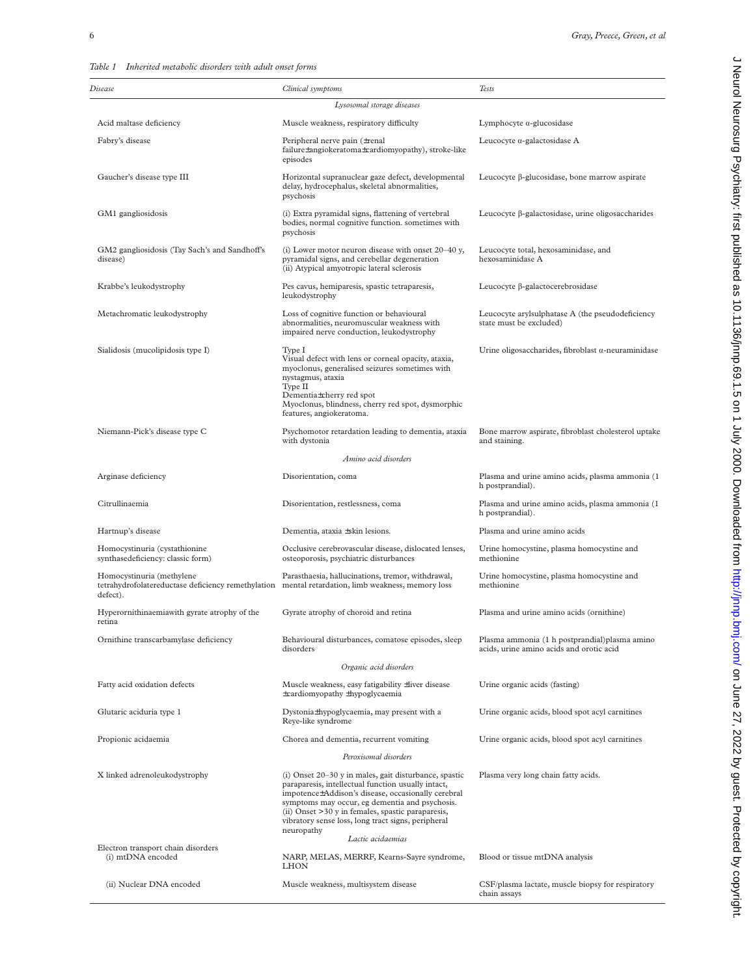*Table 1 Inherited metabolic disorders with adult onset forms* ŀ

| Disease                                                                                     | Clinical symptoms                                                                                                                                                                                                                                                                                                                            | Tests                                                                                      |
|---------------------------------------------------------------------------------------------|----------------------------------------------------------------------------------------------------------------------------------------------------------------------------------------------------------------------------------------------------------------------------------------------------------------------------------------------|--------------------------------------------------------------------------------------------|
|                                                                                             | Lysosomal storage diseases                                                                                                                                                                                                                                                                                                                   |                                                                                            |
| Acid maltase deficiency                                                                     | Muscle weakness, respiratory difficulty                                                                                                                                                                                                                                                                                                      | Lymphocyte $\alpha$ -glucosidase                                                           |
| Fabry's disease                                                                             | Peripheral nerve pain (±renal<br>failure±angiokeratoma±cardiomyopathy), stroke-like<br>episodes                                                                                                                                                                                                                                              | Leucocyte $\alpha$ -galactosidase A                                                        |
| Gaucher's disease type III                                                                  | Horizontal supranuclear gaze defect, developmental<br>delay, hydrocephalus, skeletal abnormalities,<br>psychosis                                                                                                                                                                                                                             | Leucocyte $\beta$ -glucosidase, bone marrow aspirate                                       |
| GM1 gangliosidosis                                                                          | (i) Extra pyramidal signs, flattening of vertebral<br>bodies, normal cognitive function, sometimes with<br>psychosis                                                                                                                                                                                                                         | Leucocyte $\beta$ -galactosidase, urine oligosaccharides                                   |
| GM2 gangliosidosis (Tay Sach's and Sandhoff's<br>disease)                                   | (i) Lower motor neuron disease with onset 20–40 y,<br>pyramidal signs, and cerebellar degeneration<br>(ii) Atypical amyotropic lateral sclerosis                                                                                                                                                                                             | Leucocyte total, hexosaminidase, and<br>hexosaminidase A                                   |
| Krabbe's leukodystrophy                                                                     | Pes cavus, hemiparesis, spastic tetraparesis,<br>leukodystrophy                                                                                                                                                                                                                                                                              | Leucocyte $\beta$ -galactocerebrosidase                                                    |
| Metachromatic leukodystrophy                                                                | Loss of cognitive function or behavioural<br>abnormalities, neuromuscular weakness with<br>impaired nerve conduction, leukodystrophy                                                                                                                                                                                                         | Leucocyte arylsulphatase A (the pseudodeficiency<br>state must be excluded)                |
| Sialidosis (mucolipidosis type I)                                                           | Type I<br>Visual defect with lens or corneal opacity, ataxia,<br>myoclonus, generalised seizures sometimes with<br>nystagmus, ataxia<br>Type II<br>Dementia±cherry red spot<br>Myoclonus, blindness, cherry red spot, dysmorphic<br>features, angiokeratoma.                                                                                 | Urine oligosaccharides, fibroblast $\alpha$ -neuraminidase                                 |
| Niemann-Pick's disease type C                                                               | Psychomotor retardation leading to dementia, ataxia<br>with dystonia                                                                                                                                                                                                                                                                         | Bone marrow aspirate, fibroblast cholesterol uptake<br>and staining.                       |
|                                                                                             | Amino acid disorders                                                                                                                                                                                                                                                                                                                         |                                                                                            |
| Arginase deficiency                                                                         | Disorientation, coma                                                                                                                                                                                                                                                                                                                         | Plasma and urine amino acids, plasma ammonia (1<br>h postprandial).                        |
| Citrullinaemia                                                                              | Disorientation, restlessness, coma                                                                                                                                                                                                                                                                                                           | Plasma and urine amino acids, plasma ammonia (1<br>h postprandial).                        |
| Hartnup's disease                                                                           | Dementia, ataxia ±skin lesions.                                                                                                                                                                                                                                                                                                              | Plasma and urine amino acids                                                               |
| Homocystinuria (cystathionine<br>synthasedeficiency: classic form)                          | Occlusive cerebrovascular disease, dislocated lenses,<br>osteoporosis, psychiatric disturbances                                                                                                                                                                                                                                              | Urine homocystine, plasma homocystine and<br>methionine                                    |
| Homocystinuria (methylene<br>tetrahydrofolatereductase deficiency remethylation<br>defect). | Parasthaesia, hallucinations, tremor, withdrawal,<br>mental retardation, limb weakness, memory loss                                                                                                                                                                                                                                          | Urine homocystine, plasma homocystine and<br>methionine                                    |
| Hyperornithinaemiawith gyrate atrophy of the<br>retina                                      | Gyrate atrophy of choroid and retina                                                                                                                                                                                                                                                                                                         | Plasma and urine amino acids (ornithine)                                                   |
| Ornithine transcarbamylase deficiency                                                       | Behavioural disturbances, comatose episodes, sleep<br>disorders                                                                                                                                                                                                                                                                              | Plasma ammonia (1 h postprandial) plasma amino<br>acids, urine amino acids and orotic acid |
| Organic acid disorders                                                                      |                                                                                                                                                                                                                                                                                                                                              |                                                                                            |
| Fatty acid oxidation defects                                                                | Muscle weakness, easy fatigability ±liver disease<br>±cardiomyopathy ±hypoglycaemia                                                                                                                                                                                                                                                          | Urine organic acids (fasting)                                                              |
| Glutaric aciduria type 1                                                                    | Dystonia±hypoglycaemia, may present with a<br>Reye-like syndrome                                                                                                                                                                                                                                                                             | Urine organic acids, blood spot acyl carnitines                                            |
| Propionic acidaemia                                                                         | Chorea and dementia, recurrent vomiting                                                                                                                                                                                                                                                                                                      | Urine organic acids, blood spot acyl carnitines                                            |
|                                                                                             | Peroxisomal disorders                                                                                                                                                                                                                                                                                                                        |                                                                                            |
| X linked adrenoleukodystrophy                                                               | (i) Onset 20-30 y in males, gait disturbance, spastic<br>paraparesis, intellectual function usually intact,<br>impotence±Addison's disease, occasionally cerebral<br>symptoms may occur, eg dementia and psychosis.<br>(ii) Onset >30 y in females, spastic paraparesis,<br>vibratory sense loss, long tract signs, peripheral<br>neuropathy | Plasma very long chain fatty acids.                                                        |
| Electron transport chain disorders                                                          | Lactic acidaemias                                                                                                                                                                                                                                                                                                                            |                                                                                            |
| (i) mtDNA encoded                                                                           | NARP, MELAS, MERRF, Kearns-Sayre syndrome,<br>LHON                                                                                                                                                                                                                                                                                           | Blood or tissue mtDNA analysis                                                             |
| (ii) Nuclear DNA encoded                                                                    | Muscle weakness, multisystem disease                                                                                                                                                                                                                                                                                                         | CSF/plasma lactate, muscle biopsy for respiratory<br>chain assays                          |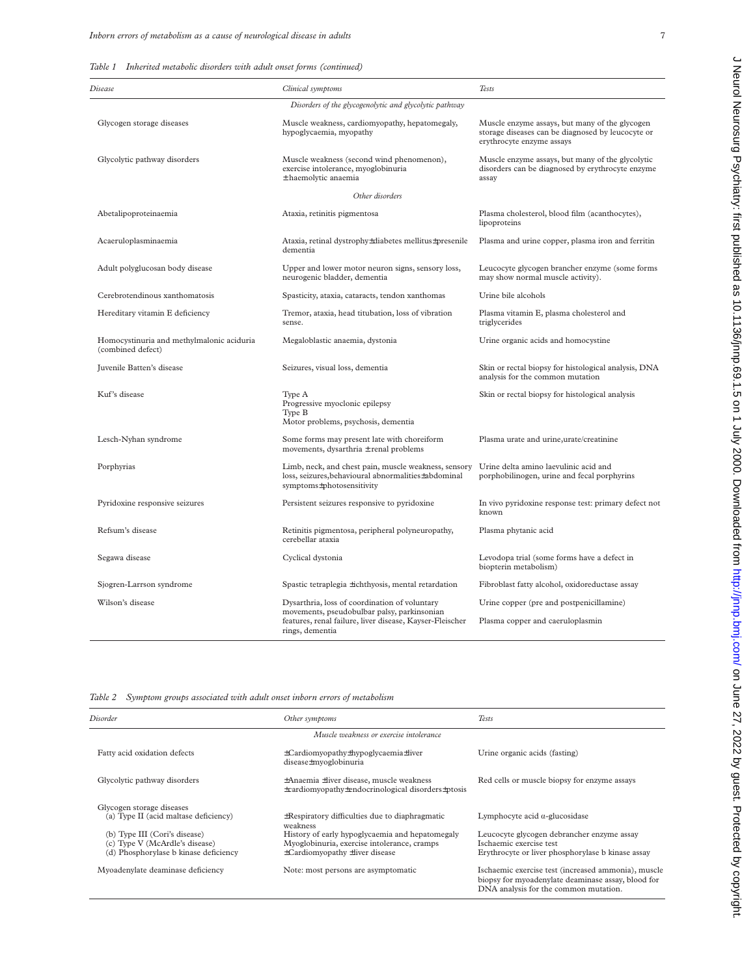*Table 1 Inherited metabolic disorders with adult onset forms (continued)*

| Disease                                                        | Clinical symptoms                                                                                                                                                           | Tests                                                                                                                            |  |
|----------------------------------------------------------------|-----------------------------------------------------------------------------------------------------------------------------------------------------------------------------|----------------------------------------------------------------------------------------------------------------------------------|--|
|                                                                | Disorders of the glycogenolytic and glycolytic pathway                                                                                                                      |                                                                                                                                  |  |
| Glycogen storage diseases                                      | Muscle weakness, cardiomyopathy, hepatomegaly,<br>hypoglycaemia, myopathy                                                                                                   | Muscle enzyme assays, but many of the glycogen<br>storage diseases can be diagnosed by leucocyte or<br>erythrocyte enzyme assays |  |
| Glycolytic pathway disorders                                   | Muscle weakness (second wind phenomenon),<br>exercise intolerance, myoglobinuria<br>$±$ haemolytic anaemia                                                                  | Muscle enzyme assays, but many of the glycolytic<br>disorders can be diagnosed by erythrocyte enzyme<br>assay                    |  |
| Other disorders                                                |                                                                                                                                                                             |                                                                                                                                  |  |
| Abetalipoproteinaemia                                          | Ataxia, retinitis pigmentosa                                                                                                                                                | Plasma cholesterol, blood film (acanthocytes),<br>lipoproteins                                                                   |  |
| Acaeruloplasminaemia                                           | Ataxia, retinal dystrophy±diabetes mellitus±presenile<br>dementia                                                                                                           | Plasma and urine copper, plasma iron and ferritin                                                                                |  |
| Adult polyglucosan body disease                                | Upper and lower motor neuron signs, sensory loss,<br>neurogenic bladder, dementia                                                                                           | Leucocyte glycogen brancher enzyme (some forms<br>may show normal muscle activity).                                              |  |
| Cerebrotendinous xanthomatosis                                 | Spasticity, ataxia, cataracts, tendon xanthomas                                                                                                                             | Urine bile alcohols                                                                                                              |  |
| Hereditary vitamin E deficiency                                | Tremor, ataxia, head titubation, loss of vibration<br>sense.                                                                                                                | Plasma vitamin E, plasma cholesterol and<br>triglycerides                                                                        |  |
| Homocystinuria and methylmalonic aciduria<br>(combined defect) | Megaloblastic anaemia, dystonia                                                                                                                                             | Urine organic acids and homocystine                                                                                              |  |
| Juvenile Batten's disease                                      | Seizures, visual loss, dementia                                                                                                                                             | Skin or rectal biopsy for histological analysis, DNA<br>analysis for the common mutation                                         |  |
| Kuf's disease                                                  | Type A<br>Progressive myoclonic epilepsy<br>Type B<br>Motor problems, psychosis, dementia                                                                                   | Skin or rectal biopsy for histological analysis                                                                                  |  |
| Lesch-Nyhan syndrome                                           | Some forms may present late with choreiform<br>movements, dysarthria $\pm$ renal problems                                                                                   | Plasma urate and urine, urate/creatinine                                                                                         |  |
| Porphyrias                                                     | Limb, neck, and chest pain, muscle weakness, sensory<br>loss, seizures, behavioural abnormalities±abdominal<br>symptoms±photosensitivity                                    | Urine delta amino laevulinic acid and<br>porphobilinogen, urine and fecal porphyrins                                             |  |
| Pyridoxine responsive seizures                                 | Persistent seizures responsive to pyridoxine                                                                                                                                | In vivo pyridoxine response test: primary defect not<br>known                                                                    |  |
| Refsum's disease                                               | Retinitis pigmentosa, peripheral polyneuropathy,<br>cerebellar ataxia                                                                                                       | Plasma phytanic acid                                                                                                             |  |
| Segawa disease                                                 | Cyclical dystonia                                                                                                                                                           | Levodopa trial (some forms have a defect in<br>biopterin metabolism)                                                             |  |
| Sjogren-Larrson syndrome                                       | Spastic tetraplegia ±ichthyosis, mental retardation                                                                                                                         | Fibroblast fatty alcohol, oxidoreductase assay                                                                                   |  |
| Wilson's disease                                               | Dysarthria, loss of coordination of voluntary<br>movements, pseudobulbar palsy, parkinsonian<br>features, renal failure, liver disease, Kayser-Fleischer<br>rings, dementia | Urine copper (pre and postpenicillamine)<br>Plasma copper and caeruloplasmin                                                     |  |

*Table 2 Symptom groups associated with adult onset inborn errors of metabolism*

| Disorder                                                                                                                                                                       | Other symptoms                                                                                                                                                                                      | Tests                                                                                                                                                               |
|--------------------------------------------------------------------------------------------------------------------------------------------------------------------------------|-----------------------------------------------------------------------------------------------------------------------------------------------------------------------------------------------------|---------------------------------------------------------------------------------------------------------------------------------------------------------------------|
|                                                                                                                                                                                | Muscle weakness or exercise intolerance                                                                                                                                                             |                                                                                                                                                                     |
| Fatty acid oxidation defects                                                                                                                                                   | $\pm$ Cardiomyopathy $\pm$ hypoglycaemia $\pm$ liver<br>disease±myoglobinuria                                                                                                                       | Urine organic acids (fasting)                                                                                                                                       |
| Glycolytic pathway disorders                                                                                                                                                   | ±Anaemia ±liver disease, muscle weakness<br>±cardiomyopathy±endocrinological disorders±ptosis                                                                                                       | Red cells or muscle biopsy for enzyme assays                                                                                                                        |
| Glycogen storage diseases<br>(a) Type II (acid maltase deficiency)<br>(b) Type III (Cori's disease)<br>(c) Type V (McArdle's disease)<br>(d) Phosphorylase b kinase deficiency | $\pm$ Respiratory difficulties due to diaphragmatic<br>weakness<br>History of early hypoglycaemia and hepatomegaly<br>Myoglobinuria, exercise intolerance, cramps<br>±Cardiomyopathy ±liver disease | Lymphocyte acid $\alpha$ -glucosidase<br>Leucocyte glycogen debrancher enzyme assay<br>Ischaemic exercise test<br>Erythrocyte or liver phosphorylase b kinase assay |
| Myoadenylate deaminase deficiency                                                                                                                                              | Note: most persons are asymptomatic                                                                                                                                                                 | Ischaemic exercise test (increased ammonia), muscle<br>biopsy for myoadenylate deaminase assay, blood for<br>DNA analysis for the common mutation.                  |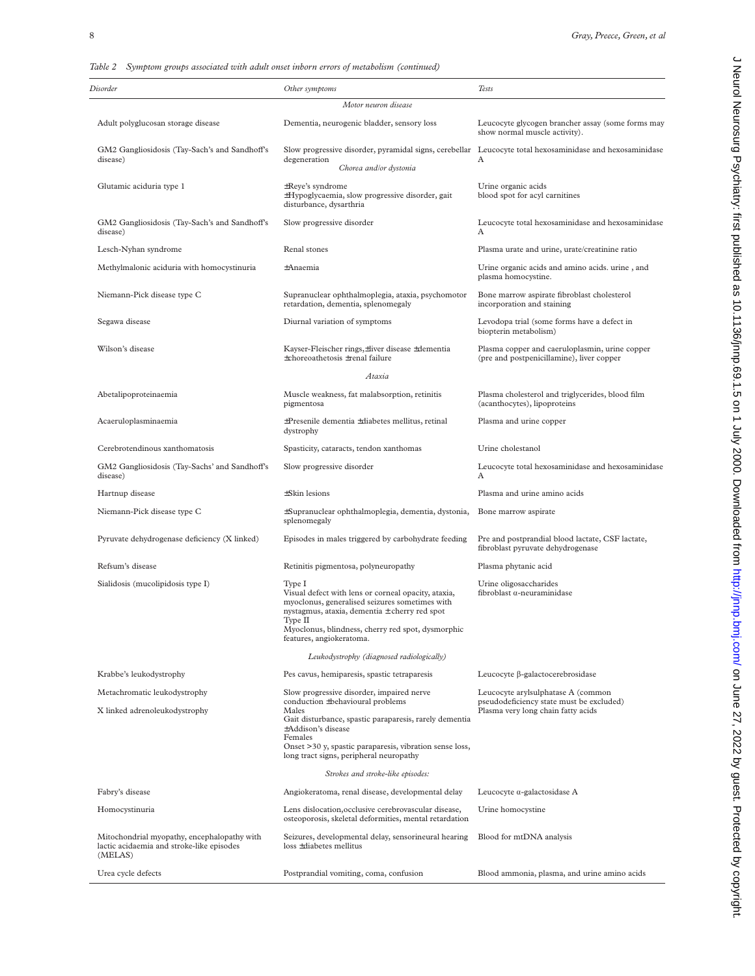*Table 2 Symptom groups associated with adult onset inborn errors of metabolism (continued)*

| Disorder                                                                                            | Other symptoms                                                                                                                                                                                                                                               | Tests                                                                                                         |
|-----------------------------------------------------------------------------------------------------|--------------------------------------------------------------------------------------------------------------------------------------------------------------------------------------------------------------------------------------------------------------|---------------------------------------------------------------------------------------------------------------|
|                                                                                                     | Motor neuron disease                                                                                                                                                                                                                                         |                                                                                                               |
| Adult polyglucosan storage disease                                                                  | Dementia, neurogenic bladder, sensory loss                                                                                                                                                                                                                   | Leucocyte glycogen brancher assay (some forms may<br>show normal muscle activity).                            |
| GM2 Gangliosidosis (Tay-Sach's and Sandhoff's<br>disease)                                           | degeneration<br>Chorea and/or dystonia                                                                                                                                                                                                                       | Slow progressive disorder, pyramidal signs, cerebellar Leucocyte total hexosaminidase and hexosaminidase<br>A |
| Glutamic aciduria type 1                                                                            | $\pm$ Reye's syndrome<br>±Hypoglycaemia, slow progressive disorder, gait<br>disturbance, dysarthria                                                                                                                                                          | Urine organic acids<br>blood spot for acyl carnitines                                                         |
| GM2 Gangliosidosis (Tay-Sach's and Sandhoff's<br>disease)                                           | Slow progressive disorder                                                                                                                                                                                                                                    | Leucocyte total hexosaminidase and hexosaminidase<br>A                                                        |
| Lesch-Nyhan syndrome                                                                                | Renal stones                                                                                                                                                                                                                                                 | Plasma urate and urine, urate/creatinine ratio                                                                |
| Methylmalonic aciduria with homocystinuria                                                          | ±Anaemia                                                                                                                                                                                                                                                     | Urine organic acids and amino acids. urine, and<br>plasma homocystine.                                        |
| Niemann-Pick disease type C                                                                         | Supranuclear ophthalmoplegia, ataxia, psychomotor<br>retardation, dementia, splenomegaly                                                                                                                                                                     | Bone marrow aspirate fibroblast cholesterol<br>incorporation and staining                                     |
| Segawa disease                                                                                      | Diurnal variation of symptoms                                                                                                                                                                                                                                | Levodopa trial (some forms have a defect in<br>biopterin metabolism)                                          |
| Wilson's disease                                                                                    | Kayser-Fleischer rings, tliver disease ±dementia<br>±choreoathetosis ±renal failure                                                                                                                                                                          | Plasma copper and caeruloplasmin, urine copper<br>(pre and postpenicillamine), liver copper                   |
|                                                                                                     | Ataxia                                                                                                                                                                                                                                                       |                                                                                                               |
| Abetalipoproteinaemia                                                                               | Muscle weakness, fat malabsorption, retinitis<br>pigmentosa                                                                                                                                                                                                  | Plasma cholesterol and triglycerides, blood film<br>(acanthocytes), lipoproteins                              |
| Acaeruloplasminaemia                                                                                | ±Presenile dementia ±diabetes mellitus, retinal<br>dystrophy                                                                                                                                                                                                 | Plasma and urine copper                                                                                       |
| Cerebrotendinous xanthomatosis                                                                      | Spasticity, cataracts, tendon xanthomas                                                                                                                                                                                                                      | Urine cholestanol                                                                                             |
| GM2 Gangliosidosis (Tay-Sachs' and Sandhoff's<br>disease)                                           | Slow progressive disorder                                                                                                                                                                                                                                    | Leucocyte total hexosaminidase and hexosaminidase<br>A                                                        |
| Hartnup disease                                                                                     | $\pm$ Skin lesions                                                                                                                                                                                                                                           | Plasma and urine amino acids                                                                                  |
| Niemann-Pick disease type C                                                                         | ±Supranuclear ophthalmoplegia, dementia, dystonia,<br>splenomegaly                                                                                                                                                                                           | Bone marrow aspirate                                                                                          |
| Pyruvate dehydrogenase deficiency (X linked)                                                        | Episodes in males triggered by carbohydrate feeding                                                                                                                                                                                                          | Pre and postprandial blood lactate, CSF lactate,<br>fibroblast pyruvate dehydrogenase                         |
| Refsum's disease                                                                                    | Retinitis pigmentosa, polyneuropathy                                                                                                                                                                                                                         | Plasma phytanic acid                                                                                          |
| Sialidosis (mucolipidosis type I)                                                                   | Type I<br>Visual defect with lens or corneal opacity, ataxia,<br>myoclonus, generalised seizures sometimes with<br>nystagmus, ataxia, dementia ± cherry red spot<br>Type II<br>Myoclonus, blindness, cherry red spot, dysmorphic<br>features, angiokeratoma. | Urine oligosaccharides<br>fibroblast $\alpha$ -neuraminidase                                                  |
|                                                                                                     | Leukodystrophy (diagnosed radiologically)                                                                                                                                                                                                                    |                                                                                                               |
| Krabbe's leukodystrophy                                                                             | Pes cavus, hemiparesis, spastic tetraparesis                                                                                                                                                                                                                 | Leucocyte β-galactocerebrosidase                                                                              |
| Metachromatic leukodystrophy                                                                        | Slow progressive disorder, impaired nerve<br>conduction ±behavioural problems                                                                                                                                                                                | Leucocyte arylsulphatase A (common<br>pseudodeficiency state must be excluded)                                |
| X linked adrenoleukodystrophy                                                                       | Males<br>Gait disturbance, spastic paraparesis, rarely dementia<br>±Addison's disease<br>Females<br>Onset >30 y, spastic paraparesis, vibration sense loss,<br>long tract signs, peripheral neuropathy                                                       | Plasma very long chain fatty acids                                                                            |
|                                                                                                     | Strokes and stroke-like episodes:                                                                                                                                                                                                                            |                                                                                                               |
| Fabry's disease                                                                                     | Angiokeratoma, renal disease, developmental delay                                                                                                                                                                                                            | Leucocyte $\alpha$ -galactosidase A                                                                           |
| Homocystinuria                                                                                      | Lens dislocation, occlusive cerebrovascular disease,<br>osteoporosis, skeletal deformities, mental retardation                                                                                                                                               | Urine homocystine                                                                                             |
| Mitochondrial myopathy, encephalopathy with<br>lactic acidaemia and stroke-like episodes<br>(MELAS) | Seizures, developmental delay, sensorineural hearing<br>loss ±diabetes mellitus                                                                                                                                                                              | Blood for mtDNA analysis                                                                                      |
| Urea cycle defects                                                                                  | Postprandial vomiting, coma, confusion                                                                                                                                                                                                                       | Blood ammonia, plasma, and urine amino acids                                                                  |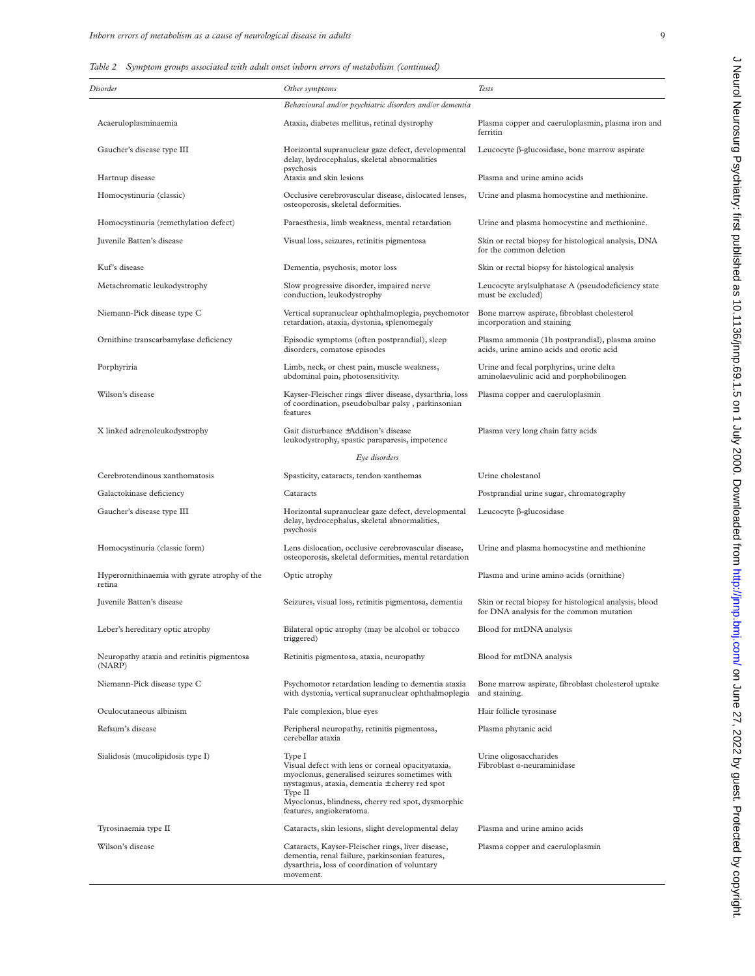*Table 2 Symptom groups associated with adult onset inborn errors of metabolism (continued)*

| Disorder                                                | Other symptoms                                                                                                                                                                                                                                                 | Tests                                                                                              |
|---------------------------------------------------------|----------------------------------------------------------------------------------------------------------------------------------------------------------------------------------------------------------------------------------------------------------------|----------------------------------------------------------------------------------------------------|
|                                                         | Behavioural and/or psychiatric disorders and/or dementia                                                                                                                                                                                                       |                                                                                                    |
| Acaeruloplasminaemia                                    | Ataxia, diabetes mellitus, retinal dystrophy                                                                                                                                                                                                                   | Plasma copper and caeruloplasmin, plasma iron and<br>ferritin                                      |
| Gaucher's disease type III                              | Horizontal supranuclear gaze defect, developmental<br>delay, hydrocephalus, skeletal abnormalities                                                                                                                                                             | Leucocyte $\beta$ -glucosidase, bone marrow aspirate                                               |
| Hartnup disease                                         | psychosis<br>Ataxia and skin lesions                                                                                                                                                                                                                           | Plasma and urine amino acids                                                                       |
| Homocystinuria (classic)                                | Occlusive cerebrovascular disease, dislocated lenses,<br>osteoporosis, skeletal deformities.                                                                                                                                                                   | Urine and plasma homocystine and methionine.                                                       |
| Homocystinuria (remethylation defect)                   | Paraesthesia, limb weakness, mental retardation                                                                                                                                                                                                                | Urine and plasma homocystine and methionine.                                                       |
| Juvenile Batten's disease                               | Visual loss, seizures, retinitis pigmentosa                                                                                                                                                                                                                    | Skin or rectal biopsy for histological analysis, DNA<br>for the common deletion                    |
| Kuf's disease                                           | Dementia, psychosis, motor loss                                                                                                                                                                                                                                | Skin or rectal biopsy for histological analysis                                                    |
| Metachromatic leukodystrophy                            | Slow progressive disorder, impaired nerve<br>conduction, leukodystrophy                                                                                                                                                                                        | Leucocyte arylsulphatase A (pseudodeficiency state<br>must be excluded)                            |
| Niemann-Pick disease type C                             | Vertical supranuclear ophthalmoplegia, psychomotor<br>retardation, ataxia, dystonia, splenomegaly                                                                                                                                                              | Bone marrow aspirate, fibroblast cholesterol<br>incorporation and staining                         |
| Ornithine transcarbamylase deficiency                   | Episodic symptoms (often postprandial), sleep<br>disorders, comatose episodes                                                                                                                                                                                  | Plasma ammonia (1h postprandial), plasma amino<br>acids, urine amino acids and orotic acid         |
| Porphyriria                                             | Limb, neck, or chest pain, muscle weakness,<br>abdominal pain, photosensitivity.                                                                                                                                                                               | Urine and fecal porphyrins, urine delta<br>aminolaevulinic acid and porphobilinogen                |
| Wilson's disease                                        | Kayser-Fleischer rings ±liver disease, dysarthria, loss<br>of coordination, pseudobulbar palsy, parkinsonian<br>features                                                                                                                                       | Plasma copper and caeruloplasmin                                                                   |
| X linked adrenoleukodystrophy                           | Gait disturbance ±Addison's disease<br>leukodystrophy, spastic paraparesis, impotence                                                                                                                                                                          | Plasma very long chain fatty acids                                                                 |
|                                                         | Eye disorders                                                                                                                                                                                                                                                  |                                                                                                    |
| Cerebrotendinous xanthomatosis                          | Spasticity, cataracts, tendon xanthomas                                                                                                                                                                                                                        | Urine cholestanol                                                                                  |
| Galactokinase deficiency                                | Cataracts                                                                                                                                                                                                                                                      | Postprandial urine sugar, chromatography                                                           |
| Gaucher's disease type III                              | Horizontal supranuclear gaze defect, developmental<br>delay, hydrocephalus, skeletal abnormalities,<br>psychosis                                                                                                                                               | Leucocyte $\beta$ -glucosidase                                                                     |
| Homocystinuria (classic form)                           | Lens dislocation, occlusive cerebrovascular disease,<br>osteoporosis, skeletal deformities, mental retardation                                                                                                                                                 | Urine and plasma homocystine and methionine                                                        |
| Hyperornithinaemia with gyrate atrophy of the<br>retina | Optic atrophy                                                                                                                                                                                                                                                  | Plasma and urine amino acids (ornithine)                                                           |
| Juvenile Batten's disease                               | Seizures, visual loss, retinitis pigmentosa, dementia                                                                                                                                                                                                          | Skin or rectal biopsy for histological analysis, blood<br>for DNA analysis for the common mutation |
| Leber's hereditary optic atrophy                        | Bilateral optic atrophy (may be alcohol or tobacco<br>triggered)                                                                                                                                                                                               | Blood for mtDNA analysis                                                                           |
| Neuropathy ataxia and retinitis pigmentosa<br>(NARP)    | Retinitis pigmentosa, ataxia, neuropathy                                                                                                                                                                                                                       | Blood for mtDNA analysis                                                                           |
| Niemann-Pick disease type C                             | Psychomotor retardation leading to dementia ataxia<br>with dystonia, vertical supranuclear ophthalmoplegia                                                                                                                                                     | Bone marrow aspirate, fibroblast cholesterol uptake<br>and staining.                               |
| Oculocutaneous albinism                                 | Pale complexion, blue eyes                                                                                                                                                                                                                                     | Hair follicle tyrosinase                                                                           |
| Refsum's disease                                        | Peripheral neuropathy, retinitis pigmentosa,<br>cerebellar ataxia                                                                                                                                                                                              | Plasma phytanic acid                                                                               |
| Sialidosis (mucolipidosis type I)                       | Type I<br>Visual defect with lens or corneal opacityataxia,<br>myoclonus, generalised seizures sometimes with<br>nystagmus, ataxia, dementia $\pm$ cherry red spot<br>Type II<br>Myoclonus, blindness, cherry red spot, dysmorphic<br>features, angiokeratoma. | Urine oligosaccharides<br>Fibroblast $\alpha$ -neuraminidase                                       |
| Tyrosinaemia type II                                    | Cataracts, skin lesions, slight developmental delay                                                                                                                                                                                                            | Plasma and urine amino acids                                                                       |
| Wilson's disease                                        | Cataracts, Kayser-Fleischer rings, liver disease,<br>dementia, renal failure, parkinsonian features,<br>dysarthria, loss of coordination of voluntary<br>movement.                                                                                             | Plasma copper and caeruloplasmin                                                                   |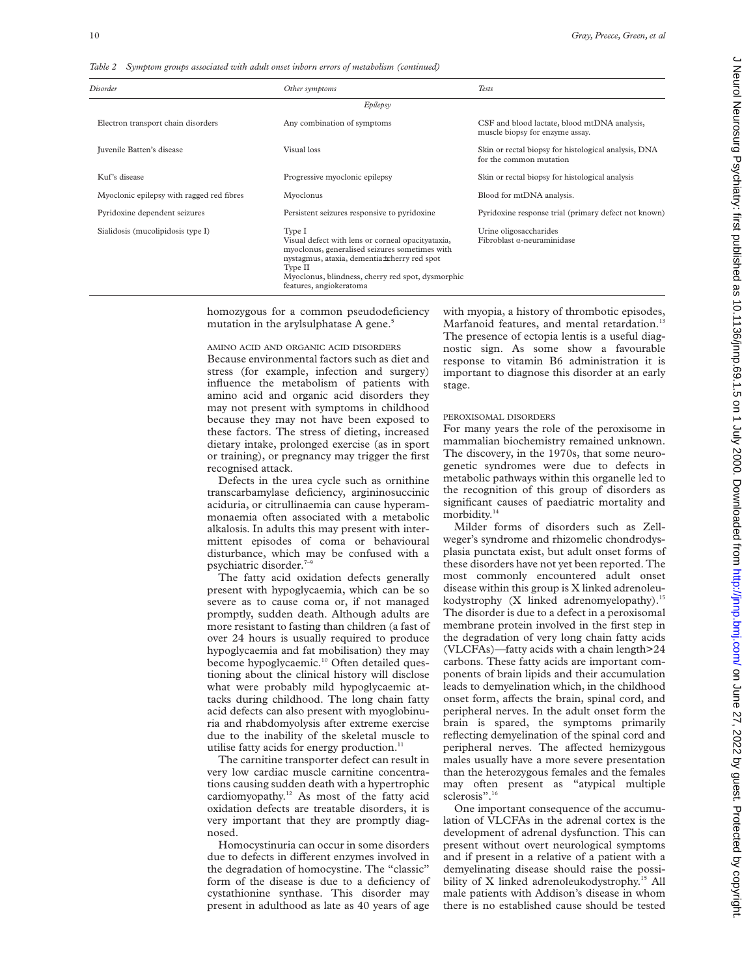*Table 2 Symptom groups associated with adult onset inborn errors of metabolism (continued)*

| Disorder                                  | Other symptoms                                                                                                                                                                                                                                          | Tests                                                                           |  |
|-------------------------------------------|---------------------------------------------------------------------------------------------------------------------------------------------------------------------------------------------------------------------------------------------------------|---------------------------------------------------------------------------------|--|
| Epilepsy                                  |                                                                                                                                                                                                                                                         |                                                                                 |  |
| Electron transport chain disorders        | Any combination of symptoms                                                                                                                                                                                                                             | CSF and blood lactate, blood mtDNA analysis,<br>muscle biopsy for enzyme assay. |  |
| Juvenile Batten's disease                 | Visual loss                                                                                                                                                                                                                                             | Skin or rectal biopsy for histological analysis, DNA<br>for the common mutation |  |
| Kuf's disease                             | Progressive myoclonic epilepsy                                                                                                                                                                                                                          | Skin or rectal biopsy for histological analysis                                 |  |
| Myoclonic epilepsy with ragged red fibres | Myoclonus                                                                                                                                                                                                                                               | Blood for mtDNA analysis.                                                       |  |
| Pyridoxine dependent seizures             | Persistent seizures responsive to pyridoxine                                                                                                                                                                                                            | Pyridoxine response trial (primary defect not known)                            |  |
| Sialidosis (mucolipidosis type I)         | Type I<br>Visual defect with lens or corneal opacityataxia,<br>myoclonus, generalised seizures sometimes with<br>nystagmus, ataxia, dementia±cherry red spot<br>Type II<br>Myoclonus, blindness, cherry red spot, dysmorphic<br>features, angiokeratoma | Urine oligosaccharides<br>Fibroblast $\alpha$ -neuraminidase                    |  |

homozygous for a common pseudodeficiency mutation in the arylsulphatase A gene.<sup>5</sup>

## AMINO ACID AND ORGANIC ACID DISORDERS

Because environmental factors such as diet and stress (for example, infection and surgery) influence the metabolism of patients with amino acid and organic acid disorders they may not present with symptoms in childhood because they may not have been exposed to these factors. The stress of dieting, increased dietary intake, prolonged exercise (as in sport or training), or pregnancy may trigger the first recognised attack.

Defects in the urea cycle such as ornithine transcarbamylase deficiency, argininosuccinic aciduria, or citrullinaemia can cause hyperammonaemia often associated with a metabolic alkalosis. In adults this may present with intermittent episodes of coma or behavioural disturbance, which may be confused with a psychiatric disorder.7–9

The fatty acid oxidation defects generally present with hypoglycaemia, which can be so severe as to cause coma or, if not managed promptly, sudden death. Although adults are more resistant to fasting than children (a fast of over 24 hours is usually required to produce hypoglycaemia and fat mobilisation) they may become hypoglycaemic.<sup>10</sup> Often detailed questioning about the clinical history will disclose what were probably mild hypoglycaemic attacks during childhood. The long chain fatty acid defects can also present with myoglobinuria and rhabdomyolysis after extreme exercise due to the inability of the skeletal muscle to utilise fatty acids for energy production.<sup>11</sup>

The carnitine transporter defect can result in very low cardiac muscle carnitine concentrations causing sudden death with a hypertrophic cardiomyopathy.<sup>12</sup> As most of the fatty acid oxidation defects are treatable disorders, it is very important that they are promptly diagnosed.

Homocystinuria can occur in some disorders due to defects in different enzymes involved in the degradation of homocystine. The "classic" form of the disease is due to a deficiency of cystathionine synthase. This disorder may present in adulthood as late as 40 years of age

with myopia, a history of thrombotic episodes, Marfanoid features, and mental retardation.<sup>1</sup> The presence of ectopia lentis is a useful diagnostic sign. As some show a favourable response to vitamin B6 administration it is important to diagnose this disorder at an early stage.

#### PEROXISOMAL DISORDERS

For many years the role of the peroxisome in mammalian biochemistry remained unknown. The discovery, in the 1970s, that some neurogenetic syndromes were due to defects in metabolic pathways within this organelle led to the recognition of this group of disorders as significant causes of paediatric mortality and morbidity.<sup>14</sup>

Milder forms of disorders such as Zellweger's syndrome and rhizomelic chondrodysplasia punctata exist, but adult onset forms of these disorders have not yet been reported. The most commonly encountered adult onset disease within this group is X linked adrenoleukodystrophy  $(X$  linked adrenomyelopathy).<sup>15</sup> The disorder is due to a defect in a peroxisomal membrane protein involved in the first step in the degradation of very long chain fatty acids (VLCFAs)—fatty acids with a chain length>24 carbons. These fatty acids are important components of brain lipids and their accumulation leads to demyelination which, in the childhood onset form, affects the brain, spinal cord, and peripheral nerves. In the adult onset form the brain is spared, the symptoms primarily reflecting demyelination of the spinal cord and peripheral nerves. The affected hemizygous males usually have a more severe presentation than the heterozygous females and the females may often present as "atypical multiple sclerosis".<sup>16</sup>

One important consequence of the accumulation of VLCFAs in the adrenal cortex is the development of adrenal dysfunction. This can present without overt neurological symptoms and if present in a relative of a patient with a demyelinating disease should raise the possibility of X linked adrenoleukodystrophy.<sup>15</sup> All male patients with Addison's disease in whom there is no established cause should be tested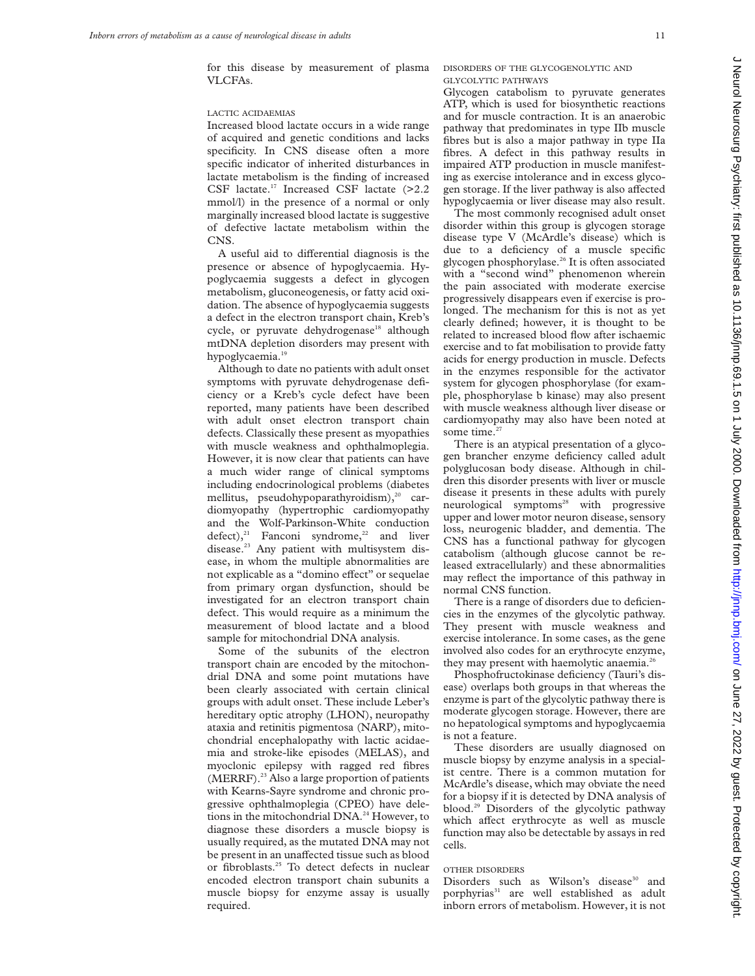for this disease by measurement of plasma VLCFAs.

## LACTIC ACIDAEMIAS

Increased blood lactate occurs in a wide range of acquired and genetic conditions and lacks specificity. In CNS disease often a more specific indicator of inherited disturbances in lactate metabolism is the finding of increased CSF lactate.17 Increased CSF lactate (>2.2 mmol/l) in the presence of a normal or only marginally increased blood lactate is suggestive of defective lactate metabolism within the CNS.

A useful aid to differential diagnosis is the presence or absence of hypoglycaemia. Hypoglycaemia suggests a defect in glycogen metabolism, gluconeogenesis, or fatty acid oxidation. The absence of hypoglycaemia suggests a defect in the electron transport chain, Kreb's cycle, or pyruvate dehydrogenase<sup>18</sup> although mtDNA depletion disorders may present with hypoglycaemia.<sup>19</sup>

Although to date no patients with adult onset symptoms with pyruvate dehydrogenase deficiency or a Kreb's cycle defect have been reported, many patients have been described with adult onset electron transport chain defects. Classically these present as myopathies with muscle weakness and ophthalmoplegia. However, it is now clear that patients can have a much wider range of clinical symptoms including endocrinological problems (diabetes mellitus, pseudohypoparathyroidism), $20$  cardiomyopathy (hypertrophic cardiomyopathy and the Wolf-Parkinson-White conduction  $defect$ ),<sup>21</sup> Fanconi syndrome,<sup>22</sup> and liver disease.<sup>23</sup> Any patient with multisystem disease, in whom the multiple abnormalities are not explicable as a "domino effect" or sequelae from primary organ dysfunction, should be investigated for an electron transport chain defect. This would require as a minimum the measurement of blood lactate and a blood sample for mitochondrial DNA analysis.

Some of the subunits of the electron transport chain are encoded by the mitochondrial DNA and some point mutations have been clearly associated with certain clinical groups with adult onset. These include Leber's hereditary optic atrophy (LHON), neuropathy ataxia and retinitis pigmentosa (NARP), mitochondrial encephalopathy with lactic acidaemia and stroke-like episodes (MELAS), and myoclonic epilepsy with ragged red fibres (MERRF).<sup>23</sup> Also a large proportion of patients with Kearns-Sayre syndrome and chronic progressive ophthalmoplegia (CPEO) have deletions in the mitochondrial DNA.<sup>24</sup> However, to diagnose these disorders a muscle biopsy is usually required, as the mutated DNA may not be present in an unaffected tissue such as blood or fibroblasts.<sup>25</sup> To detect defects in nuclear encoded electron transport chain subunits a muscle biopsy for enzyme assay is usually required.

DISORDERS OF THE GLYCOGENOLYTIC AND GLYCOLYTIC PATHWAYS

Glycogen catabolism to pyruvate generates ATP, which is used for biosynthetic reactions and for muscle contraction. It is an anaerobic pathway that predominates in type IIb muscle fibres but is also a major pathway in type IIa fibres. A defect in this pathway results in impaired ATP production in muscle manifesting as exercise intolerance and in excess glycogen storage. If the liver pathway is also affected hypoglycaemia or liver disease may also result.

The most commonly recognised adult onset disorder within this group is glycogen storage disease type V (McArdle's disease) which is due to a deficiency of a muscle specific glycogen phosphorylase.26 It is often associated with a "second wind" phenomenon wherein the pain associated with moderate exercise progressively disappears even if exercise is prolonged. The mechanism for this is not as yet clearly defined; however, it is thought to be related to increased blood flow after ischaemic exercise and to fat mobilisation to provide fatty acids for energy production in muscle. Defects in the enzymes responsible for the activator system for glycogen phosphorylase (for example, phosphorylase b kinase) may also present with muscle weakness although liver disease or cardiomyopathy may also have been noted at some time.<sup>27</sup>

There is an atypical presentation of a glycogen brancher enzyme deficiency called adult polyglucosan body disease. Although in children this disorder presents with liver or muscle disease it presents in these adults with purely neurological symptoms<sup>28</sup> with progressive upper and lower motor neuron disease, sensory loss, neurogenic bladder, and dementia. The CNS has a functional pathway for glycogen catabolism (although glucose cannot be released extracellularly) and these abnormalities may reflect the importance of this pathway in normal CNS function.

There is a range of disorders due to deficiencies in the enzymes of the glycolytic pathway. They present with muscle weakness and exercise intolerance. In some cases, as the gene involved also codes for an erythrocyte enzyme, they may present with haemolytic anaemia.<sup>26</sup>

Phosphofructokinase deficiency (Tauri's disease) overlaps both groups in that whereas the enzyme is part of the glycolytic pathway there is moderate glycogen storage. However, there are no hepatological symptoms and hypoglycaemia is not a feature.

These disorders are usually diagnosed on muscle biopsy by enzyme analysis in a specialist centre. There is a common mutation for McArdle's disease, which may obviate the need for a biopsy if it is detected by DNA analysis of blood.29 Disorders of the glycolytic pathway which affect erythrocyte as well as muscle function may also be detectable by assays in red cells.

## OTHER DISORDERS

Disorders such as Wilson's disease<sup>30</sup> and porphyrias<sup>31</sup> are well established as adult inborn errors of metabolism. However, it is not